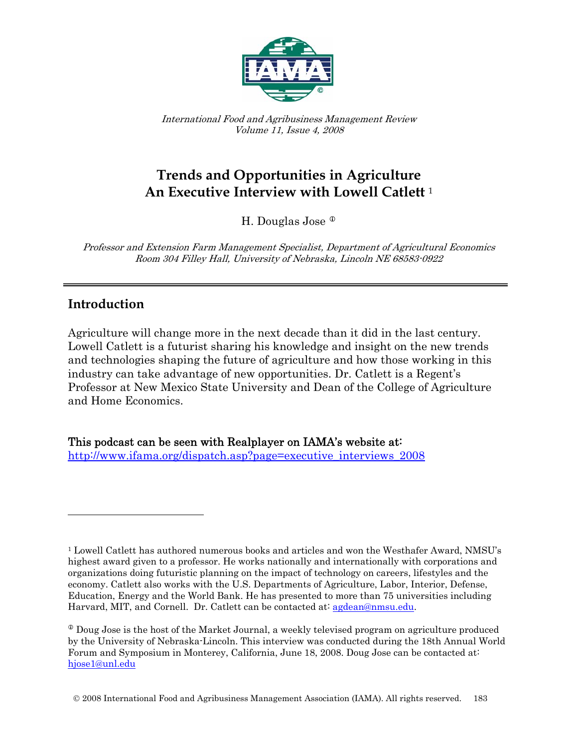

International Food and Agribusiness Management Review Volume 11, Issue 4, 2008

# **Trends and Opportunities in Agriculture An Executive Interview with Lowell Catlett** <sup>1</sup>

H. Douglas Jose<sup><sup>®</sup></sup>

Professor and Extension Farm Management Specialist, Department of Agricultural Economics Room 304 Filley Hall, University of Nebraska, Lincoln NE 68583-0922

# **Introduction**

 $\overline{\phantom{a}}$ 

Agriculture will change more in the next decade than it did in the last century. Lowell Catlett is a futurist sharing his knowledge and insight on the new trends and technologies shaping the future of agriculture and how those working in this industry can take advantage of new opportunities. Dr. Catlett is a Regent's Professor at New Mexico State University and Dean of the College of Agriculture and Home Economics.

This podcast can be seen with Realplayer on IAMA's website at: http://www.ifama.org/dispatch.asp?page=executive\_interviews\_200[8](http://www.ifama.org/dispatch.asp?page=executive_interviews_2008) 

<span id="page-0-0"></span> <sup>1</sup> Lowell Catlett has authored numerous books and articles and won the Westhafer Award, NMSU's highest award given to a professor. He works nationally and internationally with corporations and organizations doing futuristic planning on the impact of technology on careers, lifestyles and the economy. Catlett also works with the U.S. Departments of Agriculture, Labor, Interior, Defense, Education, Energy and the World Bank. He has presented to more than 75 universities including Harvard, MIT, and Cornell. Dr. Catlett can be contacted at: <u>agdean@nmsu.edu</u>.

 $\Phi$  Doug Jose is the host of the Market Journal, a weekly televised program on agriculture produced by the University of Nebraska-Lincoln. This interview was conducted during the 18th Annual World Forum and Symposium in Monterey, California, June 18, 2008. Doug Jose can be contacted at: [hjose1@unl.edu](mailto:hjose1@unl.edu)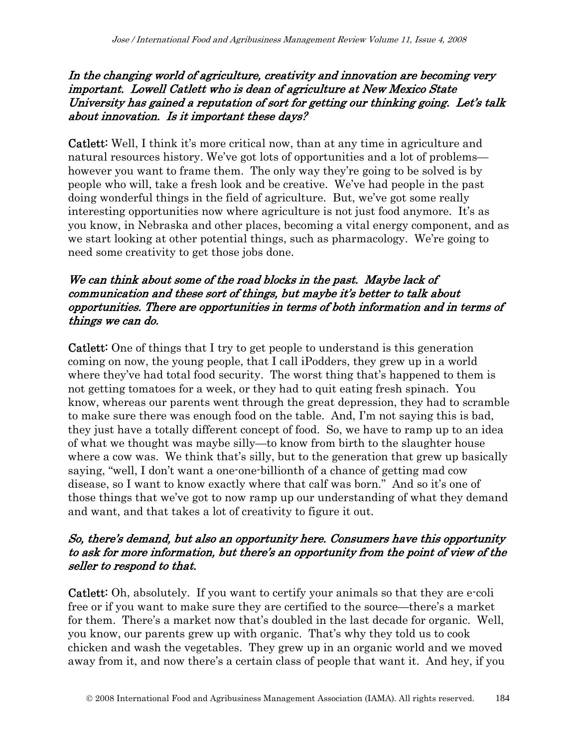#### In the changing world of agriculture, creativity and innovation are becoming very important. Lowell Catlett who is dean of agriculture at New Mexico State University has gained a reputation of sort for getting our thinking going. Let's talk about innovation. Is it important these days?

Catlett: Well, I think it's more critical now, than at any time in agriculture and natural resources history. We've got lots of opportunities and a lot of problems however you want to frame them. The only way they're going to be solved is by people who will, take a fresh look and be creative. We've had people in the past doing wonderful things in the field of agriculture. But, we've got some really interesting opportunities now where agriculture is not just food anymore. It's as you know, in Nebraska and other places, becoming a vital energy component, and as we start looking at other potential things, such as pharmacology. We're going to need some creativity to get those jobs done.

### We can think about some of the road blocks in the past. Maybe lack of communication and these sort of things, but maybe it's better to talk about opportunities. There are opportunities in terms of both information and in terms of things we can do.

Catlett: One of things that I try to get people to understand is this generation coming on now, the young people, that I call iPodders, they grew up in a world where they've had total food security. The worst thing that's happened to them is not getting tomatoes for a week, or they had to quit eating fresh spinach. You know, whereas our parents went through the great depression, they had to scramble to make sure there was enough food on the table. And, I'm not saying this is bad, they just have a totally different concept of food. So, we have to ramp up to an idea of what we thought was maybe silly—to know from birth to the slaughter house where a cow was. We think that's silly, but to the generation that grew up basically saying, "well, I don't want a one-one-billionth of a chance of getting mad cow disease, so I want to know exactly where that calf was born." And so it's one of those things that we've got to now ramp up our understanding of what they demand and want, and that takes a lot of creativity to figure it out.

### So, there's demand, but also an opportunity here. Consumers have this opportunity to ask for more information, but there's an opportunity from the point of view of the seller to respond to that.

Catlett: Oh, absolutely. If you want to certify your animals so that they are e-coli free or if you want to make sure they are certified to the source—there's a market for them. There's a market now that's doubled in the last decade for organic. Well, you know, our parents grew up with organic. That's why they told us to cook chicken and wash the vegetables. They grew up in an organic world and we moved away from it, and now there's a certain class of people that want it. And hey, if you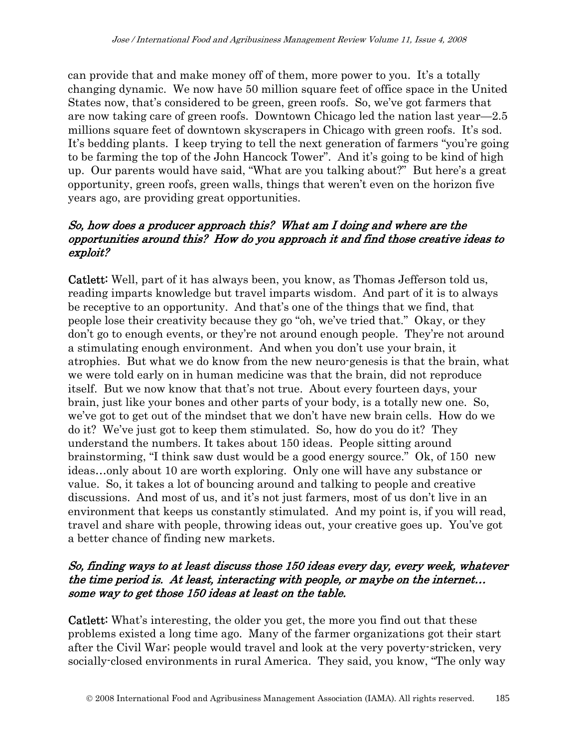can provide that and make money off of them, more power to you. It's a totally changing dynamic. We now have 50 million square feet of office space in the United States now, that's considered to be green, green roofs. So, we've got farmers that are now taking care of green roofs. Downtown Chicago led the nation last year—2.5 millions square feet of downtown skyscrapers in Chicago with green roofs. It's sod. It's bedding plants. I keep trying to tell the next generation of farmers "you're going to be farming the top of the John Hancock Tower". And it's going to be kind of high up. Our parents would have said, "What are you talking about?" But here's a great opportunity, green roofs, green walls, things that weren't even on the horizon five years ago, are providing great opportunities.

### So, how does a producer approach this? What am I doing and where are the opportunities around this? How do you approach it and find those creative ideas to exploit?

Catlett: Well, part of it has always been, you know, as Thomas Jefferson told us, reading imparts knowledge but travel imparts wisdom. And part of it is to always be receptive to an opportunity. And that's one of the things that we find, that people lose their creativity because they go "oh, we've tried that." Okay, or they don't go to enough events, or they're not around enough people. They're not around a stimulating enough environment. And when you don't use your brain, it atrophies. But what we do know from the new neuro-genesis is that the brain, what we were told early on in human medicine was that the brain, did not reproduce itself. But we now know that that's not true. About every fourteen days, your brain, just like your bones and other parts of your body, is a totally new one. So, we've got to get out of the mindset that we don't have new brain cells. How do we do it? We've just got to keep them stimulated. So, how do you do it? They understand the numbers. It takes about 150 ideas. People sitting around brainstorming, "I think saw dust would be a good energy source." Ok, of 150 new ideas…only about 10 are worth exploring. Only one will have any substance or value. So, it takes a lot of bouncing around and talking to people and creative discussions. And most of us, and it's not just farmers, most of us don't live in an environment that keeps us constantly stimulated. And my point is, if you will read, travel and share with people, throwing ideas out, your creative goes up. You've got a better chance of finding new markets.

## So, finding ways to at least discuss those 150 ideas every day, every week, whatever the time period is. At least, interacting with people, or maybe on the internet… some way to get those 150 ideas at least on the table.

Catlett: What's interesting, the older you get, the more you find out that these problems existed a long time ago. Many of the farmer organizations got their start after the Civil War; people would travel and look at the very poverty-stricken, very socially-closed environments in rural America. They said, you know, "The only way